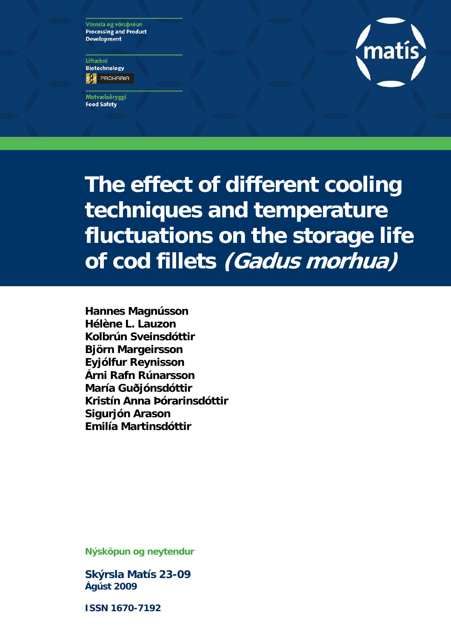Vinnsla og vöruþróun **Processing and Product Development** 

Liftækni **Biotechnology ES** PROHARIA

Matvælaöryggi **Food Safety** 



**The effect of different cooling techniques and temperature fluctuations on the storage life of cod fillets (Gadus morhua)** 

**Hannes Magnússon Hélène L. Lauzon Kolbrún Sveinsdóttir Björn Margeirsson Eyjólfur Reynisson Árni Rafn Rúnarsson María Guðjónsdóttir Kristín Anna Þórarinsdóttir Sigurjón Arason Emilía Martinsdóttir**

**Nýsköpun og neytendur** 

**Skýrsla Matís 23-09 Ágúst 2009** 

**ISSN 1670-7192**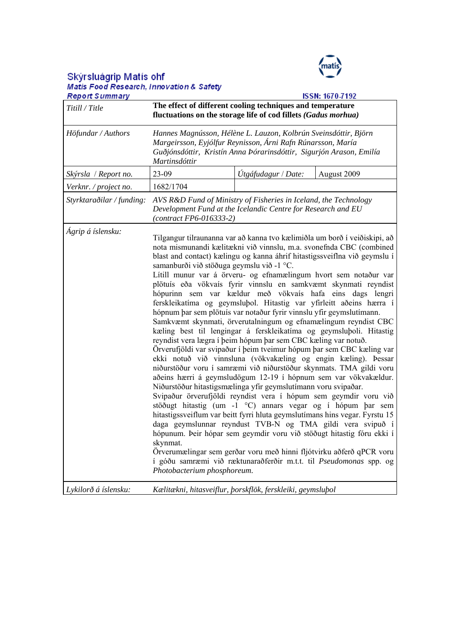

# Skýrsluágrip Matís ohf<br>Matis Food Research, Innovation & Safety<br>Report Summarv

| <b>Report Summary</b>     | <b>ISSN: 1670-7192</b>                                                                                                                                                                                                                                                                                                                                                                                                                                                                                                                                                                                                                                                                                                                                                                                                                                                                                                                                                                                                                                                                                                                                                                                                                                                                                                                                                                                                                                                                                                                                                                                                                                                                                                                             |                                                                                                                                  |  |  |  |  |  |  |
|---------------------------|----------------------------------------------------------------------------------------------------------------------------------------------------------------------------------------------------------------------------------------------------------------------------------------------------------------------------------------------------------------------------------------------------------------------------------------------------------------------------------------------------------------------------------------------------------------------------------------------------------------------------------------------------------------------------------------------------------------------------------------------------------------------------------------------------------------------------------------------------------------------------------------------------------------------------------------------------------------------------------------------------------------------------------------------------------------------------------------------------------------------------------------------------------------------------------------------------------------------------------------------------------------------------------------------------------------------------------------------------------------------------------------------------------------------------------------------------------------------------------------------------------------------------------------------------------------------------------------------------------------------------------------------------------------------------------------------------------------------------------------------------|----------------------------------------------------------------------------------------------------------------------------------|--|--|--|--|--|--|
| Titill / Title            | The effect of different cooling techniques and temperature<br>fluctuations on the storage life of cod fillets (Gadus morhua)                                                                                                                                                                                                                                                                                                                                                                                                                                                                                                                                                                                                                                                                                                                                                                                                                                                                                                                                                                                                                                                                                                                                                                                                                                                                                                                                                                                                                                                                                                                                                                                                                       |                                                                                                                                  |  |  |  |  |  |  |
| Höfundar / Authors        | Hannes Magnússon, Hélène L. Lauzon, Kolbrún Sveinsdóttir, Björn<br>Margeirsson, Eyjólfur Reynisson, Árni Rafn Rúnarsson, María<br>Guðjónsdóttir, Kristín Anna Þórarinsdóttir, Sigurjón Arason, Emilía<br>Martinsdóttir                                                                                                                                                                                                                                                                                                                                                                                                                                                                                                                                                                                                                                                                                                                                                                                                                                                                                                                                                                                                                                                                                                                                                                                                                                                                                                                                                                                                                                                                                                                             |                                                                                                                                  |  |  |  |  |  |  |
| Skýrsla / Report no.      | 23-09                                                                                                                                                                                                                                                                                                                                                                                                                                                                                                                                                                                                                                                                                                                                                                                                                                                                                                                                                                                                                                                                                                                                                                                                                                                                                                                                                                                                                                                                                                                                                                                                                                                                                                                                              | August 2009                                                                                                                      |  |  |  |  |  |  |
| Verknr. / project no.     | 1682/1704                                                                                                                                                                                                                                                                                                                                                                                                                                                                                                                                                                                                                                                                                                                                                                                                                                                                                                                                                                                                                                                                                                                                                                                                                                                                                                                                                                                                                                                                                                                                                                                                                                                                                                                                          |                                                                                                                                  |  |  |  |  |  |  |
| Styrktaraðilar / funding: | $(contract FP6-016333-2)$                                                                                                                                                                                                                                                                                                                                                                                                                                                                                                                                                                                                                                                                                                                                                                                                                                                                                                                                                                                                                                                                                                                                                                                                                                                                                                                                                                                                                                                                                                                                                                                                                                                                                                                          | AVS R&D Fund of Ministry of Fisheries in Iceland, the Technology<br>Development Fund at the Icelandic Centre for Research and EU |  |  |  |  |  |  |
| Ágrip á íslensku:         | Tilgangur tilraunanna var að kanna tvo kælimiðla um borð í veiðiskipi, að<br>nota mismunandi kælitækni við vinnslu, m.a. svonefnda CBC (combined<br>blast and contact) kælingu og kanna áhrif hitastigssveiflna við geymslu í<br>samanburði við stöðuga geymslu við -1 °C.<br>Lítill munur var á örveru- og efnamælingum hvort sem notaður var<br>plötuís eða vökvaís fyrir vinnslu en samkvæmt skynmati reyndist<br>hópurinn sem var kældur með vökvaís hafa eins dags lengri<br>ferskleikatíma og geymsluþol. Hitastig var yfirleitt aðeins hærra í<br>hópnum þar sem plötuís var notaður fyrir vinnslu yfir geymslutímann.<br>Samkvæmt skynmati, örverutalningum og efnamælingum reyndist CBC<br>kæling best til lengingar á ferskleikatíma og geymsluþoli. Hitastig<br>reyndist vera lægra í þeim hópum þar sem CBC kæling var notuð.<br>Örverufjöldi var svipaður í þeim tveimur hópum þar sem CBC kæling var<br>ekki notuð við vinnsluna (vökvakæling og engin kæling). Þessar<br>niðurstöður voru í samræmi við niðurstöður skynmats. TMA gildi voru<br>aðeins hærri á geymsludögum 12-19 í hópnum sem var vökvakældur.<br>Niðurstöður hitastigsmælinga yfir geymslutímann voru svipaðar.<br>Svipaður örverufjöldi reyndist vera í hópum sem geymdir voru við<br>stöðugt hitastig (um -1 °C) annars vegar og í hópum þar sem<br>hitastigssveiflum var beitt fyrri hluta geymslutímans hins vegar. Fyrstu 15<br>daga geymslunnar reyndust TVB-N og TMA gildi vera svipuð í<br>hópunum. Þeir hópar sem geymdir voru við stöðugt hitastig fóru ekki í<br>skynmat.<br>Örverumælingar sem gerðar voru með hinni fljótvirku aðferð qPCR voru<br>í góðu samræmi við ræktunaraðferðir m.t.t. til Pseudomonas spp. og<br>Photobacterium phosphoreum. |                                                                                                                                  |  |  |  |  |  |  |
| Lykilorð á íslensku:      | Kælitækni, hitasveiflur, þorskflök, ferskleiki, geymsluþol                                                                                                                                                                                                                                                                                                                                                                                                                                                                                                                                                                                                                                                                                                                                                                                                                                                                                                                                                                                                                                                                                                                                                                                                                                                                                                                                                                                                                                                                                                                                                                                                                                                                                         |                                                                                                                                  |  |  |  |  |  |  |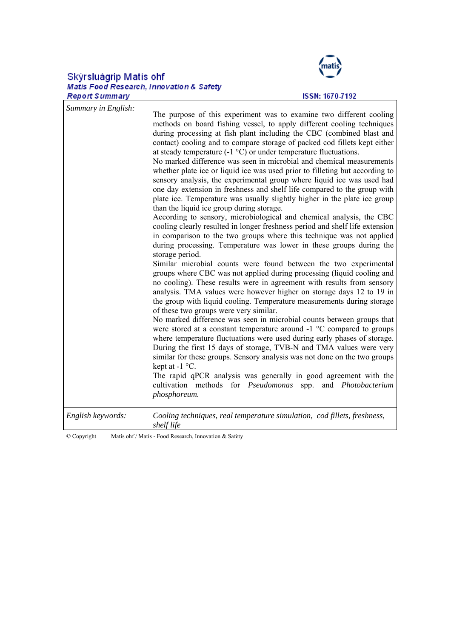# Skýrsluágrip Matís ohf<br>Matis Food Research, Innovation & Safety



#### **ISSN: 1670-7192**

| Summary in English: | The purpose of this experiment was to examine two different cooling<br>methods on board fishing vessel, to apply different cooling techniques<br>during processing at fish plant including the CBC (combined blast and<br>contact) cooling and to compare storage of packed cod fillets kept either<br>at steady temperature $(-1 \degree C)$ or under temperature fluctuations.<br>No marked difference was seen in microbial and chemical measurements<br>whether plate ice or liquid ice was used prior to filleting but according to<br>sensory analysis, the experimental group where liquid ice was used had<br>one day extension in freshness and shelf life compared to the group with<br>plate ice. Temperature was usually slightly higher in the plate ice group<br>than the liquid ice group during storage.<br>According to sensory, microbiological and chemical analysis, the CBC<br>cooling clearly resulted in longer freshness period and shelf life extension<br>in comparison to the two groups where this technique was not applied<br>during processing. Temperature was lower in these groups during the<br>storage period.<br>Similar microbial counts were found between the two experimental<br>groups where CBC was not applied during processing (liquid cooling and<br>no cooling). These results were in agreement with results from sensory<br>analysis. TMA values were however higher on storage days 12 to 19 in<br>the group with liquid cooling. Temperature measurements during storage<br>of these two groups were very similar.<br>No marked difference was seen in microbial counts between groups that<br>were stored at a constant temperature around $-1$ °C compared to groups<br>where temperature fluctuations were used during early phases of storage.<br>During the first 15 days of storage, TVB-N and TMA values were very<br>similar for these groups. Sensory analysis was not done on the two groups<br>kept at $-1$ °C.<br>The rapid qPCR analysis was generally in good agreement with the<br>cultivation methods for Pseudomonas<br>spp.<br>and Photobacterium<br>phosphoreum. |
|---------------------|-----------------------------------------------------------------------------------------------------------------------------------------------------------------------------------------------------------------------------------------------------------------------------------------------------------------------------------------------------------------------------------------------------------------------------------------------------------------------------------------------------------------------------------------------------------------------------------------------------------------------------------------------------------------------------------------------------------------------------------------------------------------------------------------------------------------------------------------------------------------------------------------------------------------------------------------------------------------------------------------------------------------------------------------------------------------------------------------------------------------------------------------------------------------------------------------------------------------------------------------------------------------------------------------------------------------------------------------------------------------------------------------------------------------------------------------------------------------------------------------------------------------------------------------------------------------------------------------------------------------------------------------------------------------------------------------------------------------------------------------------------------------------------------------------------------------------------------------------------------------------------------------------------------------------------------------------------------------------------------------------------------------------------------------------------------------------------------------------------------------------------------------|
| English keywords:   | Cooling techniques, real temperature simulation, cod fillets, freshness,<br>shelf life                                                                                                                                                                                                                                                                                                                                                                                                                                                                                                                                                                                                                                                                                                                                                                                                                                                                                                                                                                                                                                                                                                                                                                                                                                                                                                                                                                                                                                                                                                                                                                                                                                                                                                                                                                                                                                                                                                                                                                                                                                                  |

© Copyright Matís ohf / Matis - Food Research, Innovation & Safety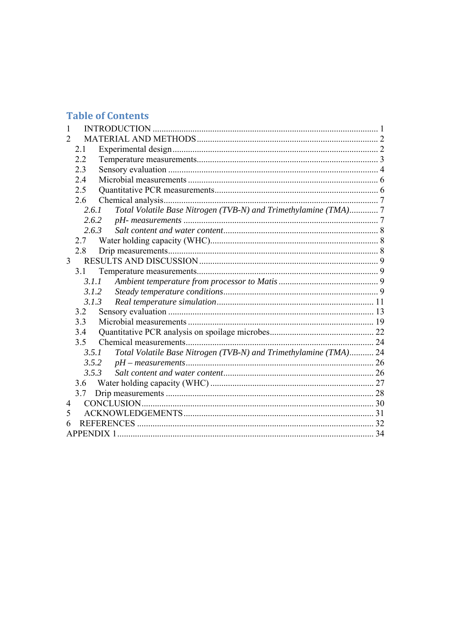# **Table of Contents**

| $\mathcal{D}_{\mathcal{L}}$ |                   |                                                                  |  |
|-----------------------------|-------------------|------------------------------------------------------------------|--|
|                             | 2.1               |                                                                  |  |
|                             | 2.2               |                                                                  |  |
|                             | 2.3               |                                                                  |  |
|                             | 2.4               |                                                                  |  |
|                             | 2.5               |                                                                  |  |
|                             | 2.6               |                                                                  |  |
|                             | 2.6.1             | Total Volatile Base Nitrogen (TVB-N) and Trimethylamine (TMA)7   |  |
|                             |                   | 2.6.2                                                            |  |
|                             | 2.6.3             |                                                                  |  |
|                             | 2.7               |                                                                  |  |
|                             | 2.8               |                                                                  |  |
|                             | 3 <sup>1</sup>    |                                                                  |  |
|                             | 3.1               |                                                                  |  |
|                             | 3.1.1             |                                                                  |  |
|                             |                   | 3.1.2                                                            |  |
|                             | 3.1.3             |                                                                  |  |
|                             | 3.2               |                                                                  |  |
|                             | 3.3               |                                                                  |  |
|                             | 3.4               |                                                                  |  |
|                             | 3.5               |                                                                  |  |
|                             | 3.5.1             | Total Volatile Base Nitrogen (TVB-N) and Trimethylamine (TMA) 24 |  |
|                             |                   | 3.5.2                                                            |  |
|                             |                   | 3.5.3                                                            |  |
|                             | 3.6               |                                                                  |  |
|                             |                   |                                                                  |  |
| 4                           |                   |                                                                  |  |
| 5                           |                   |                                                                  |  |
|                             |                   |                                                                  |  |
|                             | <b>APPENDIX 1</b> |                                                                  |  |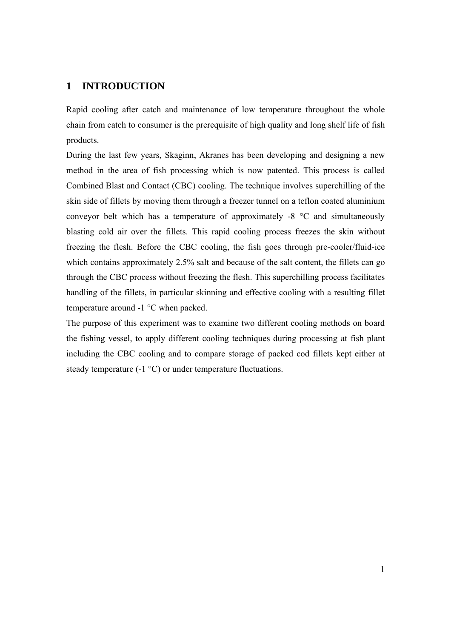#### **1 INTRODUCTION**

Rapid cooling after catch and maintenance of low temperature throughout the whole chain from catch to consumer is the prerequisite of high quality and long shelf life of fish products.

During the last few years, Skaginn, Akranes has been developing and designing a new method in the area of fish processing which is now patented. This process is called Combined Blast and Contact (CBC) cooling. The technique involves superchilling of the skin side of fillets by moving them through a freezer tunnel on a teflon coated aluminium conveyor belt which has a temperature of approximately -8 °C and simultaneously blasting cold air over the fillets. This rapid cooling process freezes the skin without freezing the flesh. Before the CBC cooling, the fish goes through pre-cooler/fluid-ice which contains approximately 2.5% salt and because of the salt content, the fillets can go through the CBC process without freezing the flesh. This superchilling process facilitates handling of the fillets, in particular skinning and effective cooling with a resulting fillet temperature around -1 °C when packed.

The purpose of this experiment was to examine two different cooling methods on board the fishing vessel, to apply different cooling techniques during processing at fish plant including the CBC cooling and to compare storage of packed cod fillets kept either at steady temperature (-1 °C) or under temperature fluctuations.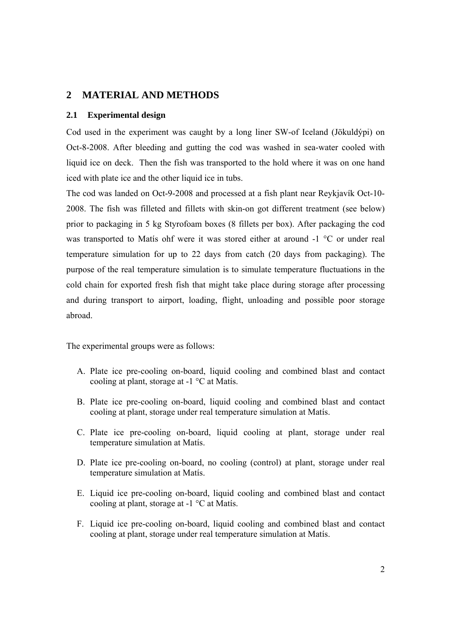### **2 MATERIAL AND METHODS**

#### **2.1 Experimental design**

Cod used in the experiment was caught by a long liner SW-of Iceland (Jökuldýpi) on Oct-8-2008. After bleeding and gutting the cod was washed in sea-water cooled with liquid ice on deck. Then the fish was transported to the hold where it was on one hand iced with plate ice and the other liquid ice in tubs.

The cod was landed on Oct-9-2008 and processed at a fish plant near Reykjavík Oct-10- 2008. The fish was filleted and fillets with skin-on got different treatment (see below) prior to packaging in 5 kg Styrofoam boxes (8 fillets per box). After packaging the cod was transported to Matís ohf were it was stored either at around -1 °C or under real temperature simulation for up to 22 days from catch (20 days from packaging). The purpose of the real temperature simulation is to simulate temperature fluctuations in the cold chain for exported fresh fish that might take place during storage after processing and during transport to airport, loading, flight, unloading and possible poor storage abroad.

The experimental groups were as follows:

- A. Plate ice pre-cooling on-board, liquid cooling and combined blast and contact cooling at plant, storage at -1 °C at Matís.
- B. Plate ice pre-cooling on-board, liquid cooling and combined blast and contact cooling at plant, storage under real temperature simulation at Matís.
- C. Plate ice pre-cooling on-board, liquid cooling at plant, storage under real temperature simulation at Matís.
- D. Plate ice pre-cooling on-board, no cooling (control) at plant, storage under real temperature simulation at Matís.
- E. Liquid ice pre-cooling on-board, liquid cooling and combined blast and contact cooling at plant, storage at -1 °C at Matís.
- F. Liquid ice pre-cooling on-board, liquid cooling and combined blast and contact cooling at plant, storage under real temperature simulation at Matís.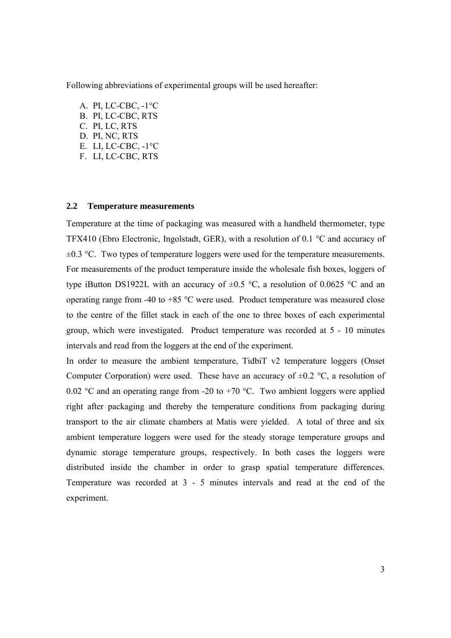Following abbreviations of experimental groups will be used hereafter:

A. PI, LC-CBC, -1°C B. PI, LC-CBC, RTS C. PI, LC, RTS D. PI, NC, RTS E. LI, LC-CBC, -1°C F. LI, LC-CBC, RTS

#### **2.2 Temperature measurements**

Temperature at the time of packaging was measured with a handheld thermometer, type TFX410 (Ebro Electronic, Ingolstadt, GER), with a resolution of 0.1 °C and accuracy of  $\pm 0.3$  °C. Two types of temperature loggers were used for the temperature measurements. For measurements of the product temperature inside the wholesale fish boxes, loggers of type iButton DS1922L with an accuracy of  $\pm 0.5$  °C, a resolution of 0.0625 °C and an operating range from -40 to  $+85$  °C were used. Product temperature was measured close to the centre of the fillet stack in each of the one to three boxes of each experimental group, which were investigated. Product temperature was recorded at 5 - 10 minutes intervals and read from the loggers at the end of the experiment.

In order to measure the ambient temperature, TidbiT v2 temperature loggers (Onset Computer Corporation) were used. These have an accuracy of  $\pm 0.2$  °C, a resolution of 0.02 °C and an operating range from -20 to +70 °C. Two ambient loggers were applied right after packaging and thereby the temperature conditions from packaging during transport to the air climate chambers at Matis were yielded. A total of three and six ambient temperature loggers were used for the steady storage temperature groups and dynamic storage temperature groups, respectively. In both cases the loggers were distributed inside the chamber in order to grasp spatial temperature differences. Temperature was recorded at 3 - 5 minutes intervals and read at the end of the experiment.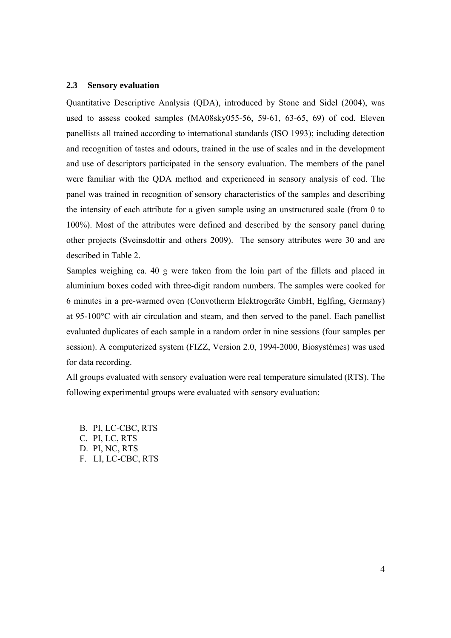#### **2.3 Sensory evaluation**

Quantitative Descriptive Analysis (QDA), introduced by Stone and Sidel (2004), was used to assess cooked samples (MA08sky055-56, 59-61, 63-65, 69) of cod. Eleven panellists all trained according to international standards (ISO 1993); including detection and recognition of tastes and odours, trained in the use of scales and in the development and use of descriptors participated in the sensory evaluation. The members of the panel were familiar with the QDA method and experienced in sensory analysis of cod. The panel was trained in recognition of sensory characteristics of the samples and describing the intensity of each attribute for a given sample using an unstructured scale (from 0 to 100%). Most of the attributes were defined and described by the sensory panel during other projects (Sveinsdottir and others 2009). The sensory attributes were 30 and are described in Table 2.

Samples weighing ca. 40 g were taken from the loin part of the fillets and placed in aluminium boxes coded with three-digit random numbers. The samples were cooked for 6 minutes in a pre-warmed oven (Convotherm Elektrogeräte GmbH, Eglfing, Germany) at 95-100°C with air circulation and steam, and then served to the panel. Each panellist evaluated duplicates of each sample in a random order in nine sessions (four samples per session). A computerized system (FIZZ, Version 2.0, 1994-2000, Biosystémes) was used for data recording.

All groups evaluated with sensory evaluation were real temperature simulated (RTS). The following experimental groups were evaluated with sensory evaluation:

B. PI, LC-CBC, RTS C. PI, LC, RTS D. PI, NC, RTS F. LI, LC-CBC, RTS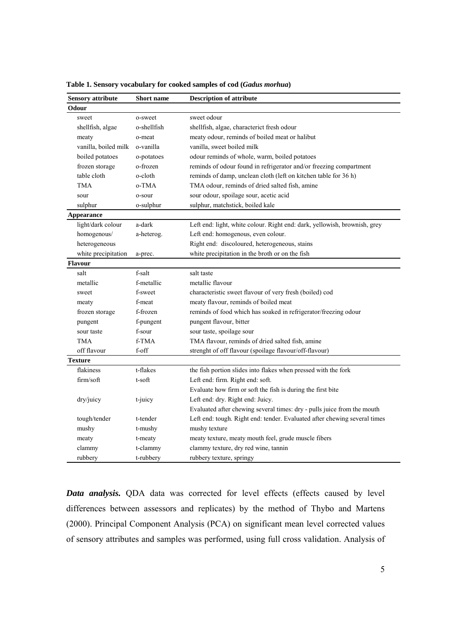| <b>Sensory attribute</b> | <b>Description of attribute</b><br><b>Short name</b> |                                                                           |  |  |  |  |
|--------------------------|------------------------------------------------------|---------------------------------------------------------------------------|--|--|--|--|
| <b>Odour</b>             |                                                      |                                                                           |  |  |  |  |
| sweet                    | o-sweet                                              | sweet odour                                                               |  |  |  |  |
| shellfish, algae         | o-shellfish                                          | shellfish, algae, characterict fresh odour                                |  |  |  |  |
| meaty                    | o-meat                                               | meaty odour, reminds of boiled meat or halibut                            |  |  |  |  |
| vanilla, boiled milk     | o-vanilla                                            | vanilla, sweet boiled milk                                                |  |  |  |  |
| boiled potatoes          | o-potatoes                                           | odour reminds of whole, warm, boiled potatoes                             |  |  |  |  |
| frozen storage           | o-frozen                                             | reminds of odour found in refrigerator and/or freezing compartment        |  |  |  |  |
| table cloth              | o-cloth                                              | reminds of damp, unclean cloth (left on kitchen table for 36 h)           |  |  |  |  |
| <b>TMA</b>               | o-TMA                                                | TMA odour, reminds of dried salted fish, amine                            |  |  |  |  |
| sour                     | o-sour                                               | sour odour, spoilage sour, acetic acid                                    |  |  |  |  |
| sulphur                  | o-sulphur                                            | sulphur, matchstick, boiled kale                                          |  |  |  |  |
| Appearance               |                                                      |                                                                           |  |  |  |  |
| light/dark colour        | a-dark                                               | Left end: light, white colour. Right end: dark, yellowish, brownish, grey |  |  |  |  |
| homogenous/              | a-heterog.                                           | Left end: homogenous, even colour.                                        |  |  |  |  |
| heterogeneous            |                                                      | Right end: discoloured, heterogeneous, stains                             |  |  |  |  |
| white precipitation      | a-prec.                                              | white precipitation in the broth or on the fish                           |  |  |  |  |
| <b>Flavour</b>           |                                                      |                                                                           |  |  |  |  |
| salt                     | f-salt                                               | salt taste                                                                |  |  |  |  |
| metallic                 | f-metallic                                           | metallic flavour                                                          |  |  |  |  |
| sweet                    | f-sweet                                              | characteristic sweet flavour of very fresh (boiled) cod                   |  |  |  |  |
| meaty                    | f-meat                                               | meaty flavour, reminds of boiled meat                                     |  |  |  |  |
| frozen storage           | f-frozen                                             | reminds of food which has soaked in refrigerator/freezing odour           |  |  |  |  |
| pungent                  | f-pungent                                            | pungent flavour, bitter                                                   |  |  |  |  |
| sour taste               | f-sour                                               | sour taste, spoilage sour                                                 |  |  |  |  |
| <b>TMA</b>               | f-TMA                                                | TMA flavour, reminds of dried salted fish, amine                          |  |  |  |  |
| off flavour              | f-off                                                | strenght of off flavour (spoilage flavour/off-flavour)                    |  |  |  |  |
| <b>Texture</b>           |                                                      |                                                                           |  |  |  |  |
| flakiness                | t-flakes                                             | the fish portion slides into flakes when pressed with the fork            |  |  |  |  |
| firm/soft                | t-soft                                               | Left end: firm. Right end: soft.                                          |  |  |  |  |
|                          |                                                      | Evaluate how firm or soft the fish is during the first bite               |  |  |  |  |
| dry/juicy                | t-juicy                                              | Left end: dry. Right end: Juicy.                                          |  |  |  |  |
|                          |                                                      | Evaluated after chewing several times: dry - pulls juice from the mouth   |  |  |  |  |
| tough/tender             | t-tender                                             | Left end: tough. Right end: tender. Evaluated after chewing several times |  |  |  |  |
| mushy                    | t-mushy                                              | mushy texture                                                             |  |  |  |  |
| meaty                    | t-meaty                                              | meaty texture, meaty mouth feel, grude muscle fibers                      |  |  |  |  |
| clammy                   | t-clammy                                             | clammy texture, dry red wine, tannin                                      |  |  |  |  |
| rubbery                  | t-rubbery                                            | rubbery texture, springy                                                  |  |  |  |  |

**Table 1. Sensory vocabulary for cooked samples of cod (***Gadus morhua***)** 

*Data analysis.* QDA data was corrected for level effects (effects caused by level differences between assessors and replicates) by the method of Thybo and Martens (2000). Principal Component Analysis (PCA) on significant mean level corrected values of sensory attributes and samples was performed, using full cross validation. Analysis of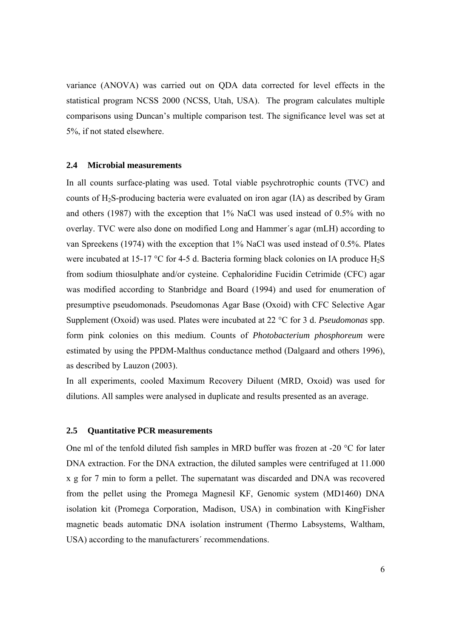variance (ANOVA) was carried out on QDA data corrected for level effects in the statistical program NCSS 2000 (NCSS, Utah, USA). The program calculates multiple comparisons using Duncan's multiple comparison test. The significance level was set at 5%, if not stated elsewhere.

#### **2.4 Microbial measurements**

In all counts surface-plating was used. Total viable psychrotrophic counts (TVC) and counts of H2S-producing bacteria were evaluated on iron agar (IA) as described by Gram and others (1987) with the exception that 1% NaCl was used instead of 0.5% with no overlay. TVC were also done on modified Long and Hammer´s agar (mLH) according to van Spreekens (1974) with the exception that 1% NaCl was used instead of 0.5%. Plates were incubated at 15-17 °C for 4-5 d. Bacteria forming black colonies on IA produce  $H_2S$ from sodium thiosulphate and/or cysteine. Cephaloridine Fucidin Cetrimide (CFC) agar was modified according to Stanbridge and Board (1994) and used for enumeration of presumptive pseudomonads. Pseudomonas Agar Base (Oxoid) with CFC Selective Agar Supplement (Oxoid) was used. Plates were incubated at 22 °C for 3 d. *Pseudomonas* spp. form pink colonies on this medium. Counts of *Photobacterium phosphoreum* were estimated by using the PPDM-Malthus conductance method (Dalgaard and others 1996), as described by Lauzon (2003).

In all experiments, cooled Maximum Recovery Diluent (MRD, Oxoid) was used for dilutions. All samples were analysed in duplicate and results presented as an average.

#### **2.5 Quantitative PCR measurements**

One ml of the tenfold diluted fish samples in MRD buffer was frozen at -20 °C for later DNA extraction. For the DNA extraction, the diluted samples were centrifuged at 11.000 x g for 7 min to form a pellet. The supernatant was discarded and DNA was recovered from the pellet using the Promega Magnesil KF, Genomic system (MD1460) DNA isolation kit (Promega Corporation, Madison, USA) in combination with KingFisher magnetic beads automatic DNA isolation instrument (Thermo Labsystems, Waltham, USA) according to the manufacturers´ recommendations.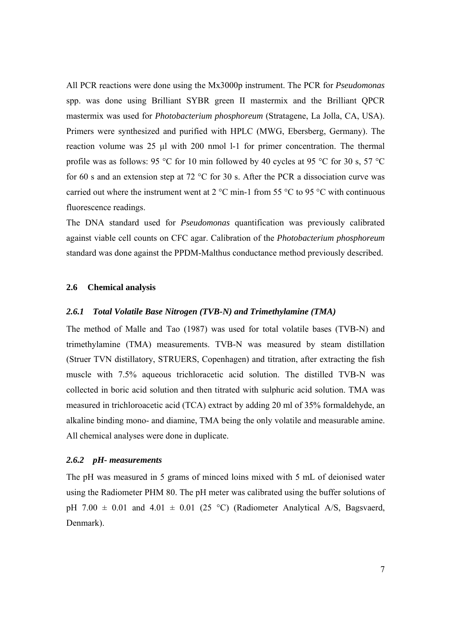All PCR reactions were done using the Mx3000p instrument. The PCR for *Pseudomonas*  spp. was done using Brilliant SYBR green II mastermix and the Brilliant QPCR mastermix was used for *Photobacterium phosphoreum* (Stratagene, La Jolla, CA, USA). Primers were synthesized and purified with HPLC (MWG, Ebersberg, Germany). The reaction volume was 25 μl with 200 nmol l-1 for primer concentration. The thermal profile was as follows: 95 °C for 10 min followed by 40 cycles at 95 °C for 30 s, 57 °C for 60 s and an extension step at 72 °C for 30 s. After the PCR a dissociation curve was carried out where the instrument went at  $2^{\circ}$ C min-1 from 55  $^{\circ}$ C to 95  $^{\circ}$ C with continuous fluorescence readings.

The DNA standard used for *Pseudomonas* quantification was previously calibrated against viable cell counts on CFC agar. Calibration of the *Photobacterium phosphoreum*  standard was done against the PPDM-Malthus conductance method previously described.

#### **2.6 Chemical analysis**

#### *2.6.1 Total Volatile Base Nitrogen (TVB-N) and Trimethylamine (TMA)*

The method of Malle and Tao (1987) was used for total volatile bases (TVB-N) and trimethylamine (TMA) measurements. TVB-N was measured by steam distillation (Struer TVN distillatory, STRUERS, Copenhagen) and titration, after extracting the fish muscle with 7.5% aqueous trichloracetic acid solution. The distilled TVB-N was collected in boric acid solution and then titrated with sulphuric acid solution. TMA was measured in trichloroacetic acid (TCA) extract by adding 20 ml of 35% formaldehyde, an alkaline binding mono- and diamine, TMA being the only volatile and measurable amine. All chemical analyses were done in duplicate.

#### *2.6.2 pH- measurements*

The pH was measured in 5 grams of minced loins mixed with 5 mL of deionised water using the Radiometer PHM 80. The pH meter was calibrated using the buffer solutions of pH 7.00  $\pm$  0.01 and 4.01  $\pm$  0.01 (25 °C) (Radiometer Analytical A/S, Bagsvaerd, Denmark).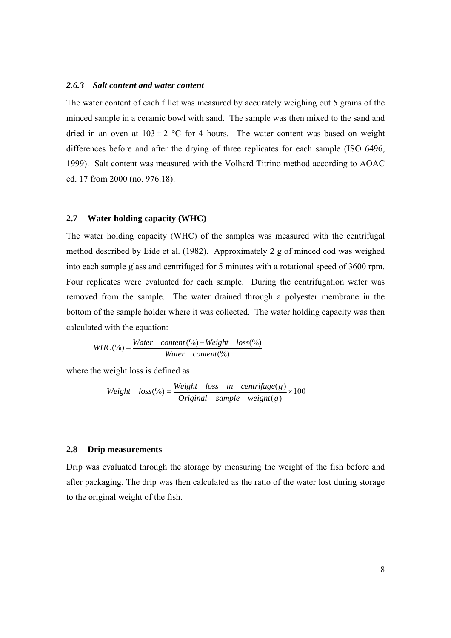#### *2.6.3 Salt content and water content*

The water content of each fillet was measured by accurately weighing out 5 grams of the minced sample in a ceramic bowl with sand. The sample was then mixed to the sand and dried in an oven at  $103 \pm 2$  °C for 4 hours. The water content was based on weight differences before and after the drying of three replicates for each sample (ISO 6496, 1999). Salt content was measured with the Volhard Titrino method according to AOAC ed. 17 from 2000 (no. 976.18).

#### **2.7 Water holding capacity (WHC)**

The water holding capacity (WHC) of the samples was measured with the centrifugal method described by Eide et al. (1982). Approximately 2 g of minced cod was weighed into each sample glass and centrifuged for 5 minutes with a rotational speed of 3600 rpm. Four replicates were evaluated for each sample. During the centrifugation water was removed from the sample. The water drained through a polyester membrane in the bottom of the sample holder where it was collected. The water holding capacity was then calculated with the equation:

$$
WHC(*) = \frac{Water \quad content\,(*) - Weight \quad loss\%)}{Water \quad content\%)}
$$

where the weight loss is defined as

Weight 
$$
loss(\%) = \frac{Weight \text{ loss in centrifuge}(g)}{Original \text{ sample weight}(g)} \times 100
$$

#### **2.8 Drip measurements**

Drip was evaluated through the storage by measuring the weight of the fish before and after packaging. The drip was then calculated as the ratio of the water lost during storage to the original weight of the fish.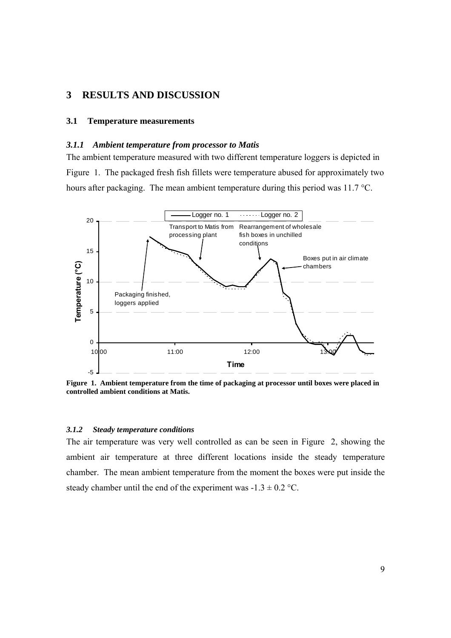## **3 RESULTS AND DISCUSSION**

#### **3.1 Temperature measurements**

#### *3.1.1 Ambient temperature from processor to Matis*

The ambient temperature measured with two different temperature loggers is depicted in Figure 1. The packaged fresh fish fillets were temperature abused for approximately two hours after packaging. The mean ambient temperature during this period was 11.7 °C.



**Figure 1. Ambient temperature from the time of packaging at processor until boxes were placed in controlled ambient conditions at Matis.** 

#### *3.1.2 Steady temperature conditions*

The air temperature was very well controlled as can be seen in Figure 2, showing the ambient air temperature at three different locations inside the steady temperature chamber. The mean ambient temperature from the moment the boxes were put inside the steady chamber until the end of the experiment was  $-1.3 \pm 0.2$  °C.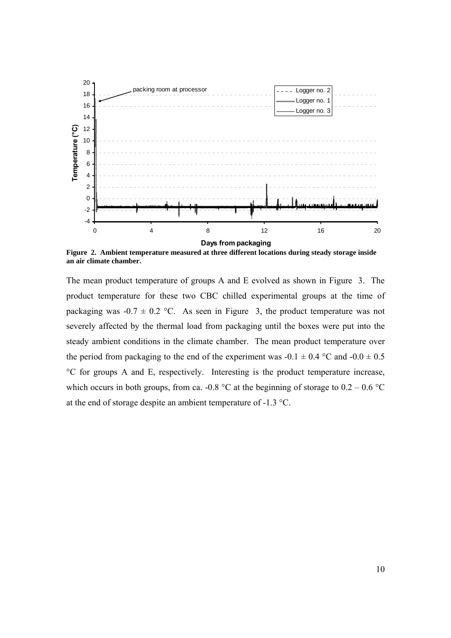

**Figure 2. Ambient temperature measured at three different locations during steady storage inside an air climate chamber.** 

The mean product temperature of groups A and E evolved as shown in Figure 3. The product temperature for these two CBC chilled experimental groups at the time of packaging was  $-0.7 \pm 0.2$  °C. As seen in Figure 3, the product temperature was not severely affected by the thermal load from packaging until the boxes were put into the steady ambient conditions in the climate chamber. The mean product temperature over the period from packaging to the end of the experiment was  $-0.1 \pm 0.4$  °C and  $-0.0 \pm 0.5$ °C for groups A and E, respectively. Interesting is the product temperature increase, which occurs in both groups, from ca.  $-0.8 \degree C$  at the beginning of storage to  $0.2 - 0.6 \degree C$ at the end of storage despite an ambient temperature of -1.3 °C.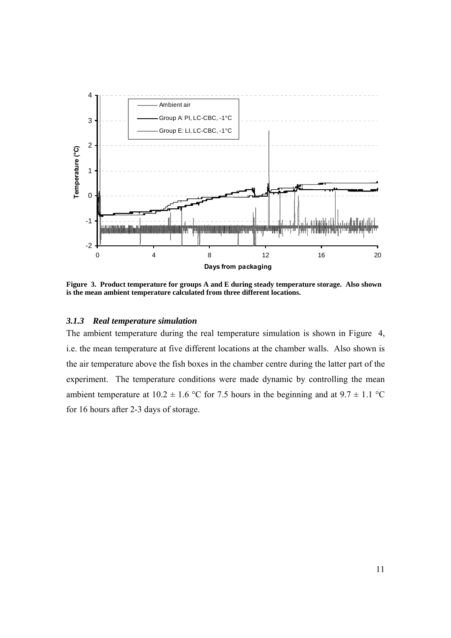

**Figure 3. Product temperature for groups A and E during steady temperature storage. Also shown is the mean ambient temperature calculated from three different locations.** 

#### *3.1.3 Real temperature simulation*

The ambient temperature during the real temperature simulation is shown in Figure 4, i.e. the mean temperature at five different locations at the chamber walls. Also shown is the air temperature above the fish boxes in the chamber centre during the latter part of the experiment. The temperature conditions were made dynamic by controlling the mean ambient temperature at  $10.2 \pm 1.6$  °C for 7.5 hours in the beginning and at  $9.7 \pm 1.1$  °C for 16 hours after 2-3 days of storage.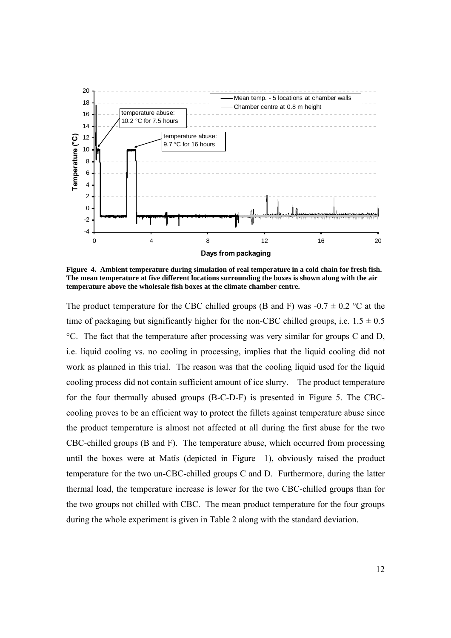

**Figure 4. Ambient temperature during simulation of real temperature in a cold chain for fresh fish. The mean temperature at five different locations surrounding the boxes is shown along with the air temperature above the wholesale fish boxes at the climate chamber centre.** 

The product temperature for the CBC chilled groups (B and F) was  $-0.7 \pm 0.2$  °C at the time of packaging but significantly higher for the non-CBC chilled groups, i.e.  $1.5 \pm 0.5$ °C. The fact that the temperature after processing was very similar for groups C and D, i.e. liquid cooling vs. no cooling in processing, implies that the liquid cooling did not work as planned in this trial. The reason was that the cooling liquid used for the liquid cooling process did not contain sufficient amount of ice slurry. The product temperature for the four thermally abused groups (B-C-D-F) is presented in Figure 5. The CBCcooling proves to be an efficient way to protect the fillets against temperature abuse since the product temperature is almost not affected at all during the first abuse for the two CBC-chilled groups (B and F). The temperature abuse, which occurred from processing until the boxes were at Matís (depicted in Figure 1), obviously raised the product temperature for the two un-CBC-chilled groups C and D. Furthermore, during the latter thermal load, the temperature increase is lower for the two CBC-chilled groups than for the two groups not chilled with CBC. The mean product temperature for the four groups during the whole experiment is given in Table 2 along with the standard deviation.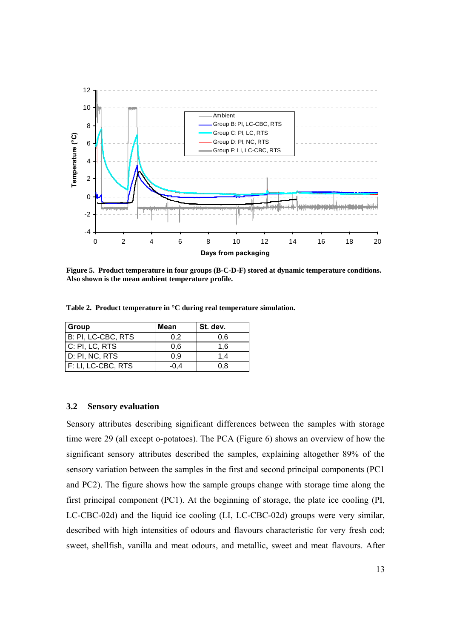

**Figure 5. Product temperature in four groups (B-C-D-F) stored at dynamic temperature conditions. Also shown is the mean ambient temperature profile.** 

**Table 2. Product temperature in °C during real temperature simulation.** 

| Group                | Mean   | l St. dev. |
|----------------------|--------|------------|
| B: PI, LC-CBC, RTS   | 0.2    | 0.6        |
| C: PI, LC, RTS       | 0,6    | 1,6        |
| D: PI, NC, RTS       | 0.9    | 1.4        |
| $F: LI, LC-CBC, RTS$ | $-0.4$ | 0.8        |

#### **3.2 Sensory evaluation**

Sensory attributes describing significant differences between the samples with storage time were 29 (all except o-potatoes). The PCA (Figure 6) shows an overview of how the significant sensory attributes described the samples, explaining altogether 89% of the sensory variation between the samples in the first and second principal components (PC1 and PC2). The figure shows how the sample groups change with storage time along the first principal component (PC1). At the beginning of storage, the plate ice cooling (PI, LC-CBC-02d) and the liquid ice cooling (LI, LC-CBC-02d) groups were very similar, described with high intensities of odours and flavours characteristic for very fresh cod; sweet, shellfish, vanilla and meat odours, and metallic, sweet and meat flavours. After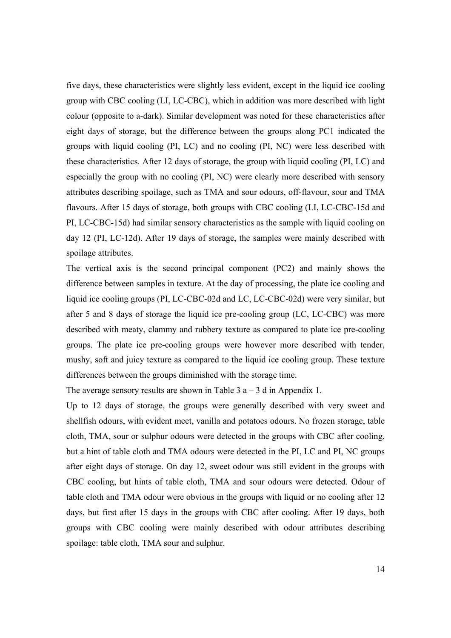five days, these characteristics were slightly less evident, except in the liquid ice cooling group with CBC cooling (LI, LC-CBC), which in addition was more described with light colour (opposite to a-dark). Similar development was noted for these characteristics after eight days of storage, but the difference between the groups along PC1 indicated the groups with liquid cooling (PI, LC) and no cooling (PI, NC) were less described with these characteristics. After 12 days of storage, the group with liquid cooling (PI, LC) and especially the group with no cooling (PI, NC) were clearly more described with sensory attributes describing spoilage, such as TMA and sour odours, off-flavour, sour and TMA flavours. After 15 days of storage, both groups with CBC cooling (LI, LC-CBC-15d and PI, LC-CBC-15d) had similar sensory characteristics as the sample with liquid cooling on day 12 (PI, LC-12d). After 19 days of storage, the samples were mainly described with spoilage attributes.

The vertical axis is the second principal component (PC2) and mainly shows the difference between samples in texture. At the day of processing, the plate ice cooling and liquid ice cooling groups (PI, LC-CBC-02d and LC, LC-CBC-02d) were very similar, but after 5 and 8 days of storage the liquid ice pre-cooling group (LC, LC-CBC) was more described with meaty, clammy and rubbery texture as compared to plate ice pre-cooling groups. The plate ice pre-cooling groups were however more described with tender, mushy, soft and juicy texture as compared to the liquid ice cooling group. These texture differences between the groups diminished with the storage time.

The average sensory results are shown in Table  $3a - 3d$  in Appendix 1.

Up to 12 days of storage, the groups were generally described with very sweet and shellfish odours, with evident meet, vanilla and potatoes odours. No frozen storage, table cloth, TMA, sour or sulphur odours were detected in the groups with CBC after cooling, but a hint of table cloth and TMA odours were detected in the PI, LC and PI, NC groups after eight days of storage. On day 12, sweet odour was still evident in the groups with CBC cooling, but hints of table cloth, TMA and sour odours were detected. Odour of table cloth and TMA odour were obvious in the groups with liquid or no cooling after 12 days, but first after 15 days in the groups with CBC after cooling. After 19 days, both groups with CBC cooling were mainly described with odour attributes describing spoilage: table cloth, TMA sour and sulphur.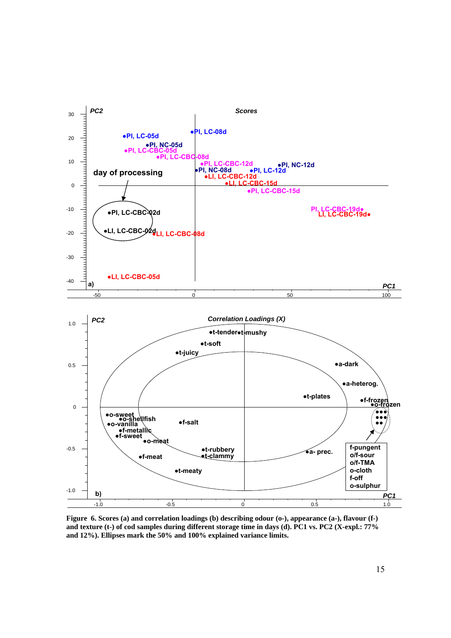

**Figure 6. Scores (a) and correlation loadings (b) describing odour (o-), appearance (a-), flavour (f-) and texture (t-) of cod samples during different storage time in days (d). PC1 vs. PC2 (X-expl.: 77% and 12%). Ellipses mark the 50% and 100% explained variance limits.**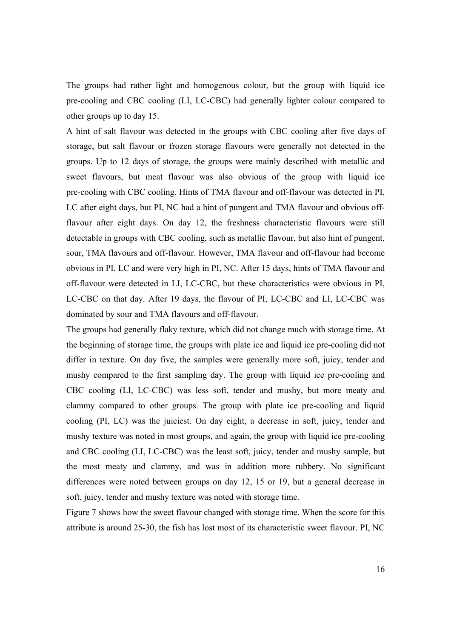The groups had rather light and homogenous colour, but the group with liquid ice pre-cooling and CBC cooling (LI, LC-CBC) had generally lighter colour compared to other groups up to day 15.

A hint of salt flavour was detected in the groups with CBC cooling after five days of storage, but salt flavour or frozen storage flavours were generally not detected in the groups. Up to 12 days of storage, the groups were mainly described with metallic and sweet flavours, but meat flavour was also obvious of the group with liquid ice pre-cooling with CBC cooling. Hints of TMA flavour and off-flavour was detected in PI, LC after eight days, but PI, NC had a hint of pungent and TMA flavour and obvious offflavour after eight days. On day 12, the freshness characteristic flavours were still detectable in groups with CBC cooling, such as metallic flavour, but also hint of pungent, sour, TMA flavours and off-flavour. However, TMA flavour and off-flavour had become obvious in PI, LC and were very high in PI, NC. After 15 days, hints of TMA flavour and off-flavour were detected in LI, LC-CBC, but these characteristics were obvious in PI, LC-CBC on that day. After 19 days, the flavour of PI, LC-CBC and LI, LC-CBC was dominated by sour and TMA flavours and off-flavour.

The groups had generally flaky texture, which did not change much with storage time. At the beginning of storage time, the groups with plate ice and liquid ice pre-cooling did not differ in texture. On day five, the samples were generally more soft, juicy, tender and mushy compared to the first sampling day. The group with liquid ice pre-cooling and CBC cooling (LI, LC-CBC) was less soft, tender and mushy, but more meaty and clammy compared to other groups. The group with plate ice pre-cooling and liquid cooling (PI, LC) was the juiciest. On day eight, a decrease in soft, juicy, tender and mushy texture was noted in most groups, and again, the group with liquid ice pre-cooling and CBC cooling (LI, LC-CBC) was the least soft, juicy, tender and mushy sample, but the most meaty and clammy, and was in addition more rubbery. No significant differences were noted between groups on day 12, 15 or 19, but a general decrease in soft, juicy, tender and mushy texture was noted with storage time.

Figure 7 shows how the sweet flavour changed with storage time. When the score for this attribute is around 25-30, the fish has lost most of its characteristic sweet flavour. PI, NC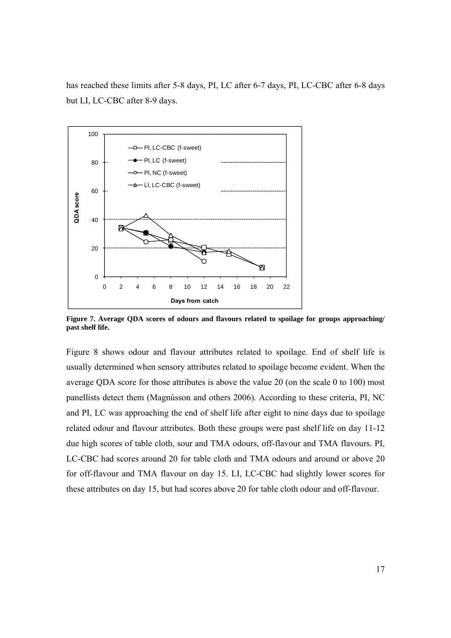has reached these limits after 5-8 days, PI, LC after 6-7 days, PI, LC-CBC after 6-8 days but LI, LC-CBC after 8-9 days.



**Figure 7. Average QDA scores of odours and flavours related to spoilage for groups approaching/ past shelf life.** 

Figure 8 shows odour and flavour attributes related to spoilage. End of shelf life is usually determined when sensory attributes related to spoilage become evident. When the average QDA score for those attributes is above the value 20 (on the scale 0 to 100) most panellists detect them (Magnússon and others 2006). According to these criteria, PI, NC and PI, LC was approaching the end of shelf life after eight to nine days due to spoilage related odour and flavour attributes. Both these groups were past shelf life on day 11-12 due high scores of table cloth, sour and TMA odours, off-flavour and TMA flavours. PI, LC-CBC had scores around 20 for table cloth and TMA odours and around or above 20 for off-flavour and TMA flavour on day 15. LI, LC-CBC had slightly lower scores for these attributes on day 15, but had scores above 20 for table cloth odour and off-flavour.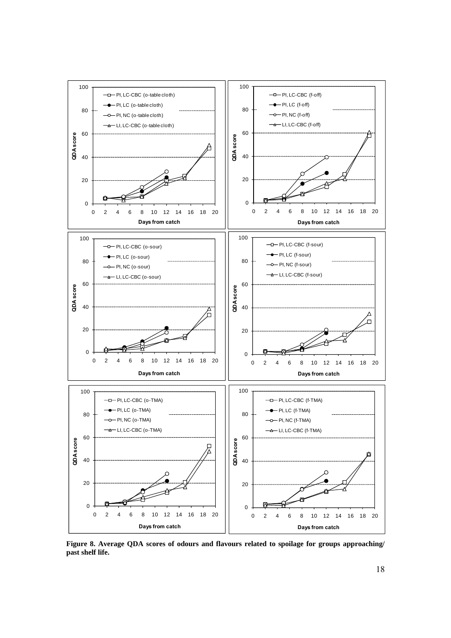

**Figure 8. Average QDA scores of odours and flavours related to spoilage for groups approaching/ past shelf life.**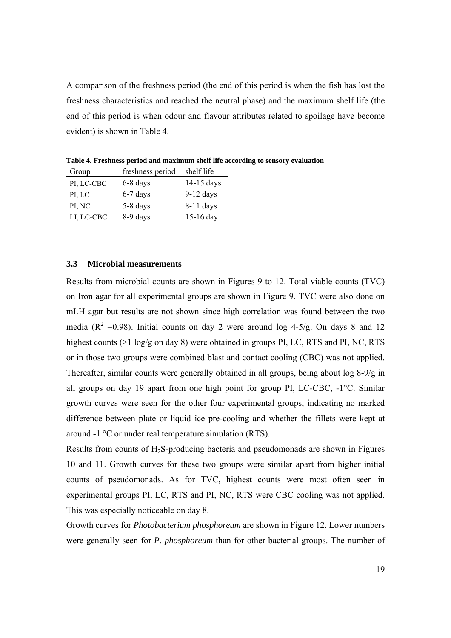A comparison of the freshness period (the end of this period is when the fish has lost the freshness characteristics and reached the neutral phase) and the maximum shelf life (the end of this period is when odour and flavour attributes related to spoilage have become evident) is shown in Table 4.

Group freshness period shelf life PI, LC-CBC 6-8 days 14-15 days PI, LC 6-7 days 9-12 days PI, NC 5-8 days 8-11 days LI, LC-CBC 8-9 days 15-16 day

**Table 4. Freshness period and maximum shelf life according to sensory evaluation** 

#### **3.3 Microbial measurements**

Results from microbial counts are shown in Figures 9 to 12. Total viable counts (TVC) on Iron agar for all experimental groups are shown in Figure 9. TVC were also done on mLH agar but results are not shown since high correlation was found between the two media ( $R^2$  =0.98). Initial counts on day 2 were around log 4-5/g. On days 8 and 12 highest counts (>1 log/g on day 8) were obtained in groups PI, LC, RTS and PI, NC, RTS or in those two groups were combined blast and contact cooling (CBC) was not applied. Thereafter, similar counts were generally obtained in all groups, being about log 8-9/g in all groups on day 19 apart from one high point for group PI, LC-CBC, -1°C. Similar growth curves were seen for the other four experimental groups, indicating no marked difference between plate or liquid ice pre-cooling and whether the fillets were kept at around -1 °C or under real temperature simulation (RTS).

Results from counts of  $H_2S$ -producing bacteria and pseudomonads are shown in Figures 10 and 11. Growth curves for these two groups were similar apart from higher initial counts of pseudomonads. As for TVC, highest counts were most often seen in experimental groups PI, LC, RTS and PI, NC, RTS were CBC cooling was not applied. This was especially noticeable on day 8.

Growth curves for *Photobacterium phosphoreum* are shown in Figure 12. Lower numbers were generally seen for *P. phosphoreum* than for other bacterial groups. The number of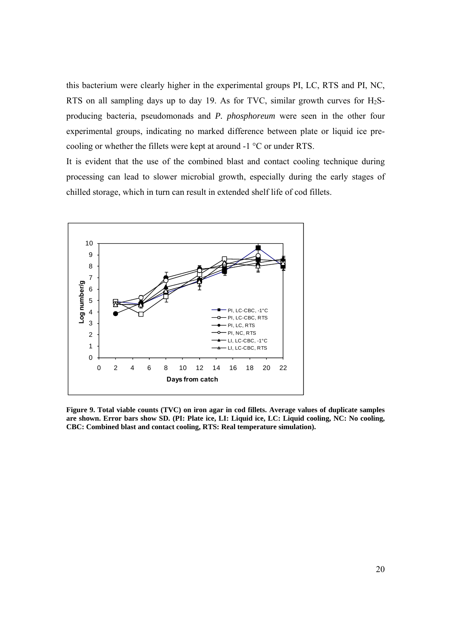this bacterium were clearly higher in the experimental groups PI, LC, RTS and PI, NC, RTS on all sampling days up to day 19. As for TVC, similar growth curves for  $H_2S$ producing bacteria, pseudomonads and *P. phosphoreum* were seen in the other four experimental groups, indicating no marked difference between plate or liquid ice precooling or whether the fillets were kept at around -1 °C or under RTS.

It is evident that the use of the combined blast and contact cooling technique during processing can lead to slower microbial growth, especially during the early stages of chilled storage, which in turn can result in extended shelf life of cod fillets.



**Figure 9. Total viable counts (TVC) on iron agar in cod fillets. Average values of duplicate samples are shown. Error bars show SD. (PI: Plate ice, LI: Liquid ice, LC: Liquid cooling, NC: No cooling, CBC: Combined blast and contact cooling, RTS: Real temperature simulation).**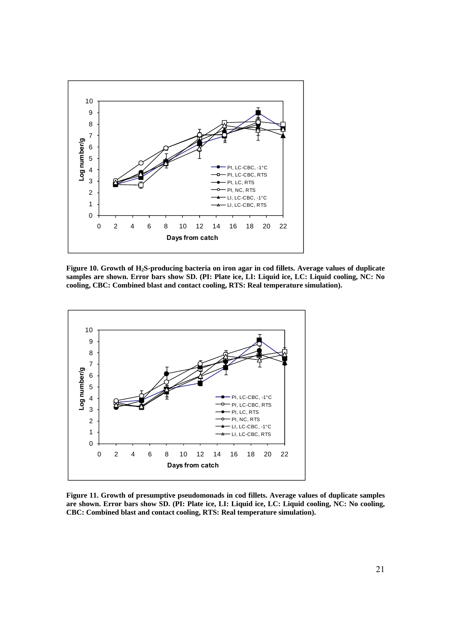

**Figure 10. Growth of H2S-producing bacteria on iron agar in cod fillets. Average values of duplicate samples are shown. Error bars show SD. (PI: Plate ice, LI: Liquid ice, LC: Liquid cooling, NC: No cooling, CBC: Combined blast and contact cooling, RTS: Real temperature simulation).** 



**Figure 11. Growth of presumptive pseudomonads in cod fillets. Average values of duplicate samples are shown. Error bars show SD. (PI: Plate ice, LI: Liquid ice, LC: Liquid cooling, NC: No cooling, CBC: Combined blast and contact cooling, RTS: Real temperature simulation).**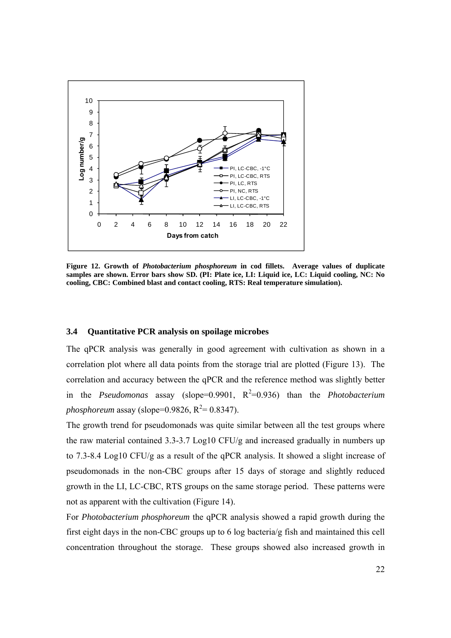

**Figure 12. Growth of** *Photobacterium phosphoreum* **in cod fillets. Average values of duplicate samples are shown. Error bars show SD. (PI: Plate ice, LI: Liquid ice, LC: Liquid cooling, NC: No cooling, CBC: Combined blast and contact cooling, RTS: Real temperature simulation).** 

#### **3.4 Quantitative PCR analysis on spoilage microbes**

The qPCR analysis was generally in good agreement with cultivation as shown in a correlation plot where all data points from the storage trial are plotted (Figure 13). The correlation and accuracy between the qPCR and the reference method was slightly better in the *Pseudomonas* assay (slope=0.9901,  $R^2=0.936$ ) than the *Photobacterium phosphoreum* assay (slope= $0.9826$ ,  $R^2 = 0.8347$ ).

The growth trend for pseudomonads was quite similar between all the test groups where the raw material contained 3.3-3.7 Log10 CFU/g and increased gradually in numbers up to 7.3-8.4 Log10 CFU/g as a result of the qPCR analysis. It showed a slight increase of pseudomonads in the non-CBC groups after 15 days of storage and slightly reduced growth in the LI, LC-CBC, RTS groups on the same storage period. These patterns were not as apparent with the cultivation (Figure 14).

For *Photobacterium phosphoreum* the qPCR analysis showed a rapid growth during the first eight days in the non-CBC groups up to 6 log bacteria/g fish and maintained this cell concentration throughout the storage. These groups showed also increased growth in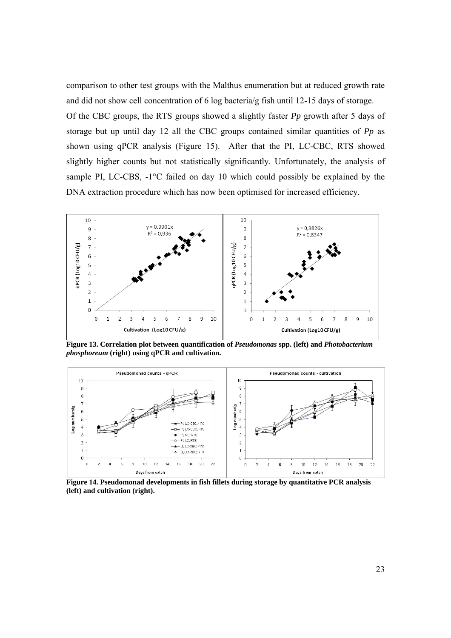comparison to other test groups with the Malthus enumeration but at reduced growth rate and did not show cell concentration of 6 log bacteria/g fish until 12-15 days of storage.

Of the CBC groups, the RTS groups showed a slightly faster *Pp* growth after 5 days of storage but up until day 12 all the CBC groups contained similar quantities of *Pp* as shown using qPCR analysis (Figure 15). After that the PI, LC-CBC, RTS showed slightly higher counts but not statistically significantly. Unfortunately, the analysis of sample PI, LC-CBS, -1<sup>o</sup>C failed on day 10 which could possibly be explained by the DNA extraction procedure which has now been optimised for increased efficiency.



**Figure 13. Correlation plot between quantification of** *Pseudomonas* **spp. (left) and** *Photobacterium phosphoreum* **(right) using qPCR and cultivation.** 



**Figure 14. Pseudomonad developments in fish fillets during storage by quantitative PCR analysis (left) and cultivation (right).**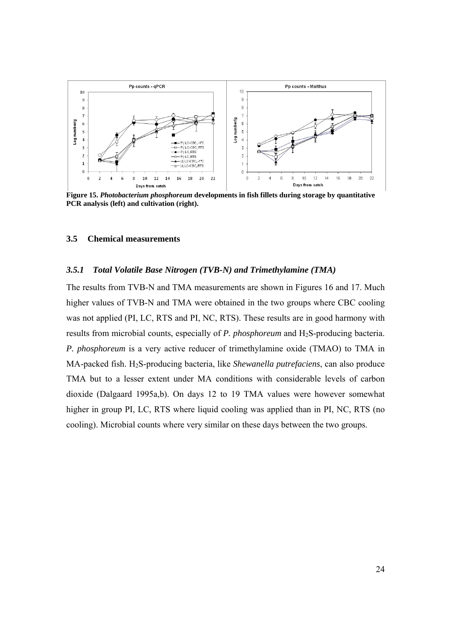

**Figure 15.** *Photobacterium phosphoreum* **developments in fish fillets during storage by quantitative PCR analysis (left) and cultivation (right).** 

#### **3.5 Chemical measurements**

#### *3.5.1 Total Volatile Base Nitrogen (TVB-N) and Trimethylamine (TMA)*

The results from TVB-N and TMA measurements are shown in Figures 16 and 17. Much higher values of TVB-N and TMA were obtained in the two groups where CBC cooling was not applied (PI, LC, RTS and PI, NC, RTS). These results are in good harmony with results from microbial counts, especially of *P. phosphoreum* and H<sub>2</sub>S-producing bacteria. *P. phosphoreum* is a very active reducer of trimethylamine oxide (TMAO) to TMA in MA-packed fish. H2S-producing bacteria, like *Shewanella putrefaciens*, can also produce TMA but to a lesser extent under MA conditions with considerable levels of carbon dioxide (Dalgaard 1995a,b). On days 12 to 19 TMA values were however somewhat higher in group PI, LC, RTS where liquid cooling was applied than in PI, NC, RTS (no cooling). Microbial counts where very similar on these days between the two groups.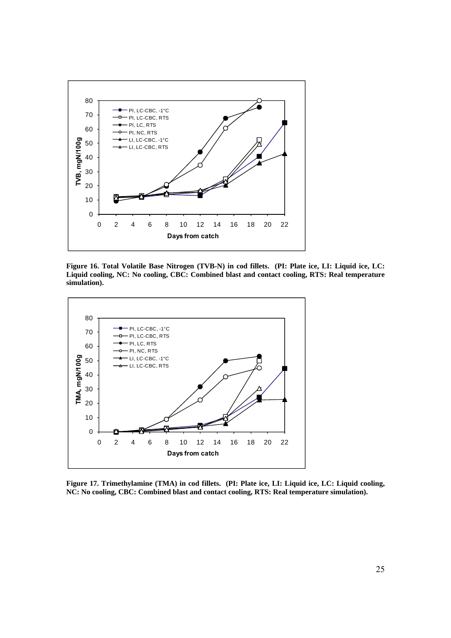

**Figure 16. Total Volatile Base Nitrogen (TVB-N) in cod fillets. (PI: Plate ice, LI: Liquid ice, LC: Liquid cooling, NC: No cooling, CBC: Combined blast and contact cooling, RTS: Real temperature simulation).** 



**Figure 17. Trimethylamine (TMA) in cod fillets. (PI: Plate ice, LI: Liquid ice, LC: Liquid cooling, NC: No cooling, CBC: Combined blast and contact cooling, RTS: Real temperature simulation).**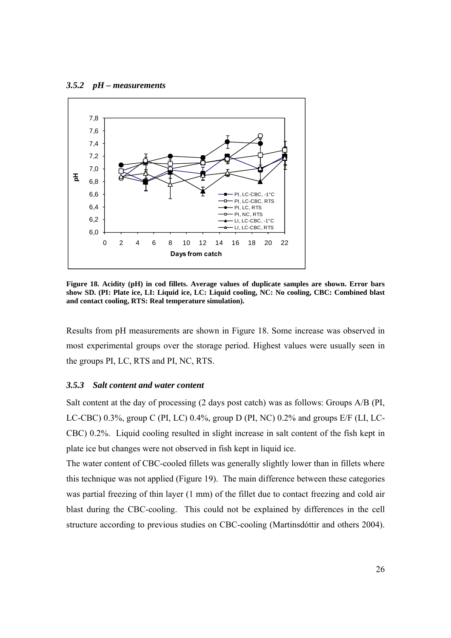#### *3.5.2 pH – measurements*



**Figure 18. Acidity (pH) in cod fillets. Average values of duplicate samples are shown. Error bars show SD. (PI: Plate ice, LI: Liquid ice, LC: Liquid cooling, NC: No cooling, CBC: Combined blast and contact cooling, RTS: Real temperature simulation).** 

Results from pH measurements are shown in Figure 18. Some increase was observed in most experimental groups over the storage period. Highest values were usually seen in the groups PI, LC, RTS and PI, NC, RTS.

#### *3.5.3 Salt content and water content*

Salt content at the day of processing (2 days post catch) was as follows: Groups A/B (PI, LC-CBC) 0.3%, group C (PI, LC) 0.4%, group D (PI, NC) 0.2% and groups E/F (LI, LC-CBC) 0.2%. Liquid cooling resulted in slight increase in salt content of the fish kept in plate ice but changes were not observed in fish kept in liquid ice.

The water content of CBC-cooled fillets was generally slightly lower than in fillets where this technique was not applied (Figure 19). The main difference between these categories was partial freezing of thin layer (1 mm) of the fillet due to contact freezing and cold air blast during the CBC-cooling. This could not be explained by differences in the cell structure according to previous studies on CBC-cooling (Martinsdóttir and others 2004).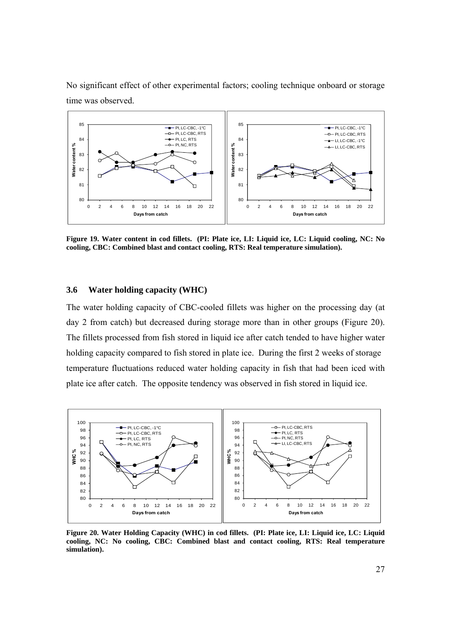No significant effect of other experimental factors; cooling technique onboard or storage time was observed.



**Figure 19. Water content in cod fillets. (PI: Plate ice, LI: Liquid ice, LC: Liquid cooling, NC: No cooling, CBC: Combined blast and contact cooling, RTS: Real temperature simulation).** 

#### **3.6 Water holding capacity (WHC)**

The water holding capacity of CBC-cooled fillets was higher on the processing day (at day 2 from catch) but decreased during storage more than in other groups (Figure 20). The fillets processed from fish stored in liquid ice after catch tended to have higher water holding capacity compared to fish stored in plate ice. During the first 2 weeks of storage temperature fluctuations reduced water holding capacity in fish that had been iced with plate ice after catch. The opposite tendency was observed in fish stored in liquid ice.



**Figure 20. Water Holding Capacity (WHC) in cod fillets. (PI: Plate ice, LI: Liquid ice, LC: Liquid cooling, NC: No cooling, CBC: Combined blast and contact cooling, RTS: Real temperature simulation).**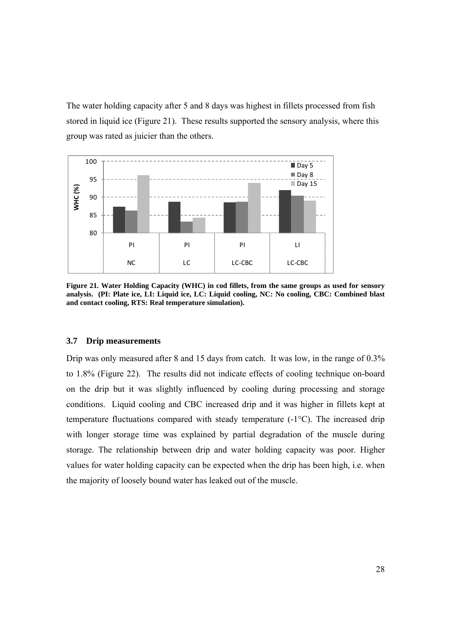The water holding capacity after 5 and 8 days was highest in fillets processed from fish stored in liquid ice (Figure 21). These results supported the sensory analysis, where this group was rated as juicier than the others.



**Figure 21. Water Holding Capacity (WHC) in cod fillets, from the same groups as used for sensory analysis. (PI: Plate ice, LI: Liquid ice, LC: Liquid cooling, NC: No cooling, CBC: Combined blast and contact cooling, RTS: Real temperature simulation).** 

#### **3.7 Drip measurements**

Drip was only measured after 8 and 15 days from catch. It was low, in the range of 0.3% to 1.8% (Figure 22). The results did not indicate effects of cooling technique on-board on the drip but it was slightly influenced by cooling during processing and storage conditions. Liquid cooling and CBC increased drip and it was higher in fillets kept at temperature fluctuations compared with steady temperature (-1°C). The increased drip with longer storage time was explained by partial degradation of the muscle during storage. The relationship between drip and water holding capacity was poor. Higher values for water holding capacity can be expected when the drip has been high, i.e. when the majority of loosely bound water has leaked out of the muscle.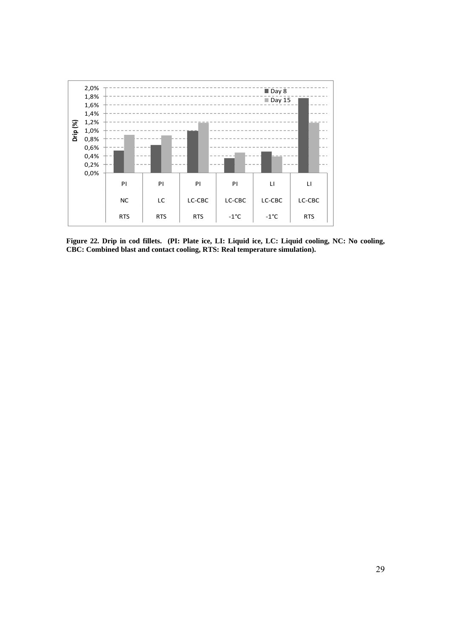

**Figure 22. Drip in cod fillets. (PI: Plate ice, LI: Liquid ice, LC: Liquid cooling, NC: No cooling, CBC: Combined blast and contact cooling, RTS: Real temperature simulation).**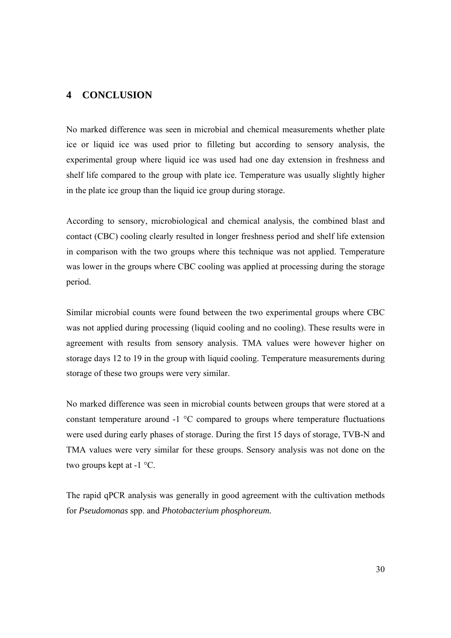## **4 CONCLUSION**

No marked difference was seen in microbial and chemical measurements whether plate ice or liquid ice was used prior to filleting but according to sensory analysis, the experimental group where liquid ice was used had one day extension in freshness and shelf life compared to the group with plate ice. Temperature was usually slightly higher in the plate ice group than the liquid ice group during storage.

According to sensory, microbiological and chemical analysis, the combined blast and contact (CBC) cooling clearly resulted in longer freshness period and shelf life extension in comparison with the two groups where this technique was not applied. Temperature was lower in the groups where CBC cooling was applied at processing during the storage period.

Similar microbial counts were found between the two experimental groups where CBC was not applied during processing (liquid cooling and no cooling). These results were in agreement with results from sensory analysis. TMA values were however higher on storage days 12 to 19 in the group with liquid cooling. Temperature measurements during storage of these two groups were very similar.

No marked difference was seen in microbial counts between groups that were stored at a constant temperature around -1 °C compared to groups where temperature fluctuations were used during early phases of storage. During the first 15 days of storage, TVB-N and TMA values were very similar for these groups. Sensory analysis was not done on the two groups kept at -1 °C.

The rapid qPCR analysis was generally in good agreement with the cultivation methods for *Pseudomonas* spp. and *Photobacterium phosphoreum.*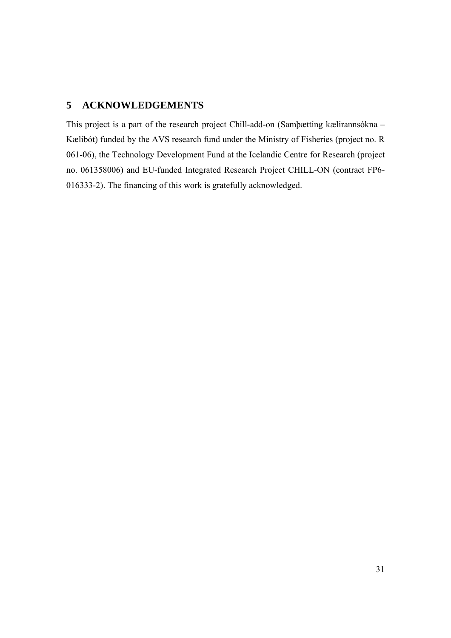# **5 ACKNOWLEDGEMENTS**

This project is a part of the research project Chill-add-on (Samþætting kælirannsókna – Kælibót) funded by the AVS research fund under the Ministry of Fisheries (project no. R 061-06), the Technology Development Fund at the Icelandic Centre for Research (project no. 061358006) and EU-funded Integrated Research Project CHILL-ON (contract FP6- 016333-2). The financing of this work is gratefully acknowledged.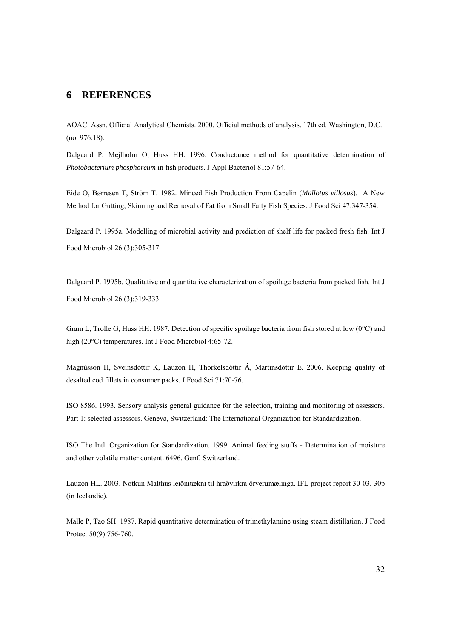#### **6 REFERENCES**

AOAC Assn. Official Analytical Chemists. 2000. Official methods of analysis. 17th ed. Washington, D.C. (no. 976.18).

Dalgaard P, Mejlholm O, Huss HH. 1996. Conductance method for quantitative determination of *Photobacterium phosphoreum* in fish products. J Appl Bacteriol 81:57-64.

Eide O, Børresen T, Ström T. 1982. Minced Fish Production From Capelin (*Mallotus villosus*). A New Method for Gutting, Skinning and Removal of Fat from Small Fatty Fish Species. J Food Sci 47:347-354.

Dalgaard P. 1995a. Modelling of microbial activity and prediction of shelf life for packed fresh fish. Int J Food Microbiol 26 (3):305-317.

Dalgaard P. 1995b. Qualitative and quantitative characterization of spoilage bacteria from packed fish. Int J Food Microbiol 26 (3):319-333.

Gram L, Trolle G, Huss HH. 1987. Detection of specific spoilage bacteria from fish stored at low (0°C) and high (20°C) temperatures. Int J Food Microbiol 4:65-72.

Magnússon H, Sveinsdóttir K, Lauzon H, Thorkelsdóttir Á, Martinsdóttir E. 2006. Keeping quality of desalted cod fillets in consumer packs. J Food Sci 71:70-76.

ISO 8586. 1993. Sensory analysis general guidance for the selection, training and monitoring of assessors. Part 1: selected assessors. Geneva, Switzerland: The International Organization for Standardization.

ISO The Intl. Organization for Standardization. 1999. Animal feeding stuffs - Determination of moisture and other volatile matter content. 6496. Genf, Switzerland.

Lauzon HL. 2003. Notkun Malthus leiðnitækni til hraðvirkra örverumælinga. IFL project report 30-03, 30p (in Icelandic).

Malle P, Tao SH. 1987. Rapid quantitative determination of trimethylamine using steam distillation. J Food Protect 50(9):756-760.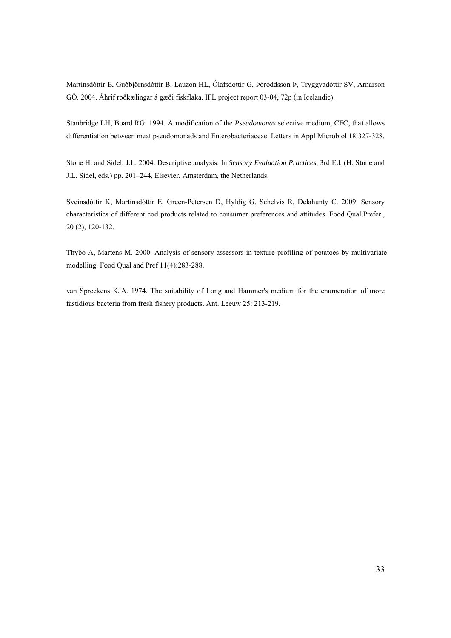Martinsdóttir E, Guðbjörnsdóttir B, Lauzon HL, Ólafsdóttir G, Þóroddsson Þ, Tryggvadóttir SV, Arnarson GÖ. 2004. Áhrif roðkælingar á gæði fiskflaka. IFL project report 03-04, 72p (in Icelandic).

Stanbridge LH, Board RG. 1994. A modification of the *Pseudomonas* selective medium, CFC, that allows differentiation between meat pseudomonads and Enterobacteriaceae. Letters in Appl Microbiol 18:327-328.

Stone H. and Sidel, J.L. 2004. Descriptive analysis. In *Sensory Evaluation Practices*, 3rd Ed. (H. Stone and J.L. Sidel, eds.) pp. 201–244, Elsevier, Amsterdam, the Netherlands.

Sveinsdóttir K, Martinsdóttir E, Green-Petersen D, Hyldig G, Schelvis R, Delahunty C. 2009. Sensory characteristics of different cod products related to consumer preferences and attitudes. Food Qual.Prefer., 20 (2), 120-132.

Thybo A, Martens M. 2000. Analysis of sensory assessors in texture profiling of potatoes by multivariate modelling. Food Qual and Pref 11(4):283-288.

van Spreekens KJA. 1974. The suitability of Long and Hammer's medium for the enumeration of more fastidious bacteria from fresh fishery products. Ant. Leeuw 25: 213-219.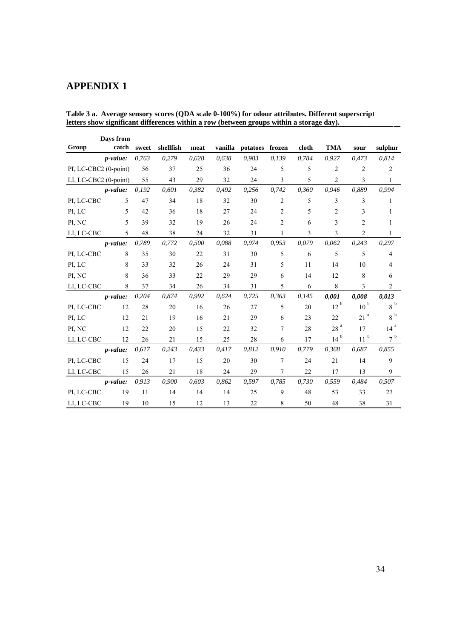# **APPENDIX 1**

| Days from             |                 |       |           |       |         |          |                |       |                 |                 |                 |
|-----------------------|-----------------|-------|-----------|-------|---------|----------|----------------|-------|-----------------|-----------------|-----------------|
| Group                 | catch           | sweet | shellfish | meat  | vanilla | potatoes | frozen         | cloth | <b>TMA</b>      | sour            | sulphur         |
|                       | <i>p-value:</i> | 0,763 | 0,279     | 0,628 | 0,638   | 0,983    | 0,139          | 0,784 | 0,927           | 0,473           | 0,814           |
| PI, LC-CBC2 (0-point) |                 | 56    | 37        | 25    | 36      | 24       | 5              | 5     | $\overline{2}$  | $\overline{2}$  | $\overline{2}$  |
| LI, LC-CBC2 (0-point) |                 | 55    | 43        | 29    | 32      | 24       | 3              | 5     | 2               | 3               | 1               |
|                       | $p-value:$      | 0,192 | 0,601     | 0,382 | 0,492   | 0,256    | 0,742          | 0,360 | 0,946           | 0.889           | 0,994           |
| PI, LC-CBC            | 5               | 47    | 34        | 18    | 32      | 30       | 2              | 5     | 3               | 3               | 1               |
| PI, LC                | 5               | 42    | 36        | 18    | 27      | 24       | $\overline{2}$ | 5     | $\overline{2}$  | 3               | 1               |
| PI, NC                | 5               | 39    | 32        | 19    | 26      | 24       | 2              | 6     | 3               | $\overline{2}$  | 1               |
| LI, LC-CBC            | 5               | 48    | 38        | 24    | 32      | 31       | $\mathbf{1}$   | 3     | 3               | $\overline{2}$  | $\mathbf{1}$    |
|                       | <i>p-value:</i> | 0,789 | 0,772     | 0,500 | 0,088   | 0,974    | 0,953          | 0,079 | 0,062           | 0,243           | 0,297           |
| PI, LC-CBC            | 8               | 35    | 30        | 22    | 31      | 30       | 5              | 6     | 5               | 5               | 4               |
| PI, LC                | 8               | 33    | 32        | 26    | 24      | 31       | 5              | 11    | 14              | 10              | 4               |
| PI, NC                | 8               | 36    | 33        | 22    | 29      | 29       | 6              | 14    | 12              | 8               | 6               |
| LI, LC-CBC            | 8               | 37    | 34        | 26    | 34      | 31       | 5              | 6     | 8               | 3               | $\overline{2}$  |
|                       | <i>p-value:</i> | 0,204 | 0,874     | 0,992 | 0,624   | 0,725    | 0,363          | 0,145 | 0,001           | 0,008           | 0,013           |
| PI, LC-CBC            | 12              | 28    | 20        | 16    | 26      | 27       | 5              | 20    | $12^{b}$        | $10^{b}$        | 8 <sup>b</sup>  |
| PI, LC                | 12              | 21    | 19        | 16    | 21      | 29       | 6              | 23    | 22              | 21 <sup>a</sup> | 8 <sup>b</sup>  |
| PI, NC                | 12              | 22    | 20        | 15    | 22      | 32       | 7              | 28    | 28 <sup>a</sup> | 17              | 14 <sup>a</sup> |
| LI, LC-CBC            | 12              | 26    | 21        | 15    | 25      | 28       | 6              | 17    | 14 <sup>b</sup> | $11^{b}$        | 7 <sup>b</sup>  |
|                       | <i>p-value:</i> | 0,617 | 0,243     | 0,433 | 0,417   | 0,812    | 0,910          | 0,779 | 0,368           | 0,687           | 0.855           |
| PI, LC-CBC            | 15              | 24    | 17        | 15    | 20      | 30       | 7              | 24    | 21              | 14              | 9               |
| LI, LC-CBC            | 15              | 26    | 21        | 18    | 24      | 29       | $\tau$         | 22    | 17              | 13              | 9               |
|                       | <i>p-value:</i> | 0,913 | 0,900     | 0,603 | 0,862   | 0,597    | 0,785          | 0,730 | 0,559           | 0,484           | 0,507           |
| PI, LC-CBC            | 19              | 11    | 14        | 14    | 14      | 25       | 9              | 48    | 53              | 33              | 27              |
| LI, LC-CBC            | 19              | 10    | 15        | 12    | 13      | 22       | 8              | 50    | 48              | 38              | 31              |

**Table 3 a. Average sensory scores (QDA scale 0-100%) for odour attributes. Different superscript letters show significant differences within a row (between groups within a storage day).**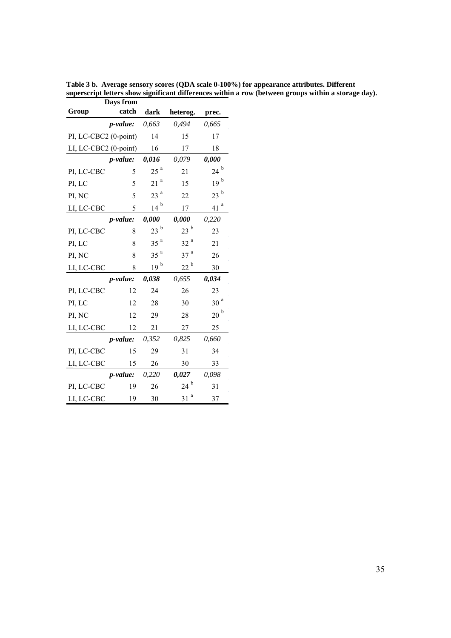|                       | рауѕ п'ош        |                 |                 |                 |
|-----------------------|------------------|-----------------|-----------------|-----------------|
| Group                 | catch            | dark            | heterog.        | prec.           |
|                       | p-value:         | 0,663           | 0,494           | 0,665           |
| PI, LC-CBC2 (0-point) |                  | 14              | 15              | 17              |
| LI, LC-CBC2 (0-point) |                  | 16              | 17              | 18              |
|                       | p-value:         | 0,016           | 0,079           | 0,000           |
| PI, LC-CBC            | 5                | 25 <sup>a</sup> | 21              | $24^{\circ}$    |
| PI, LC                | 5                | a<br>21         | 15              | 19 <sup>b</sup> |
| PI, NC                | 5                | 23 <sup>a</sup> | 22              | 23 <sup>b</sup> |
| LI, LC-CBC            | 5                |                 | 17              | a<br>41         |
|                       | p-value:         | 0,000           | 0,000           | 0,220           |
| PI, LC-CBC            | 8                | 23 <sup>b</sup> | 23 <sup>b</sup> | 23              |
| PI, LC                | 8                | 35 <sup>a</sup> | 32 <sup>a</sup> | 21              |
| PI, NC                | 8                | 35 <sup>a</sup> | 37 <sup>a</sup> | 26              |
| LI, LC-CBC            | 8                | 19 <sup>b</sup> | $22^{\text{b}}$ | 30              |
|                       | <i>p</i> -value: | 0,038           | 0,655           | 0,034           |
| PI, LC-CBC            | 12               | 24              | 26              | 23              |
| PI, LC                | 12               | 28              | 30              | 30 <sup>a</sup> |
| PI, NC                | 12               | 29              | 28              | 20 <sup>b</sup> |
| LI, LC-CBC            | 12               | 21              | 27              | 25              |
|                       | <i>p</i> -value: | 0,352           | 0,825           | 0,660           |
| PI, LC-CBC            | 15               | 29              |                 | 34              |
| LI, LC-CBC            | 15               | 26              | 30              | 33              |
|                       | p-value:         | 0,220           | 0,027           | 0,098           |
| PI, LC-CBC            | 19               | 26              | $24^{\circ}$    | 31              |
| LI, LC-CBC            | 19               | 30              | 31 <sup>a</sup> | 37              |

**Table 3 b. Average sensory scores (QDA scale 0-100%) for appearance attributes. Different superscript letters show significant differences within a row (between groups within a storage day). Days from**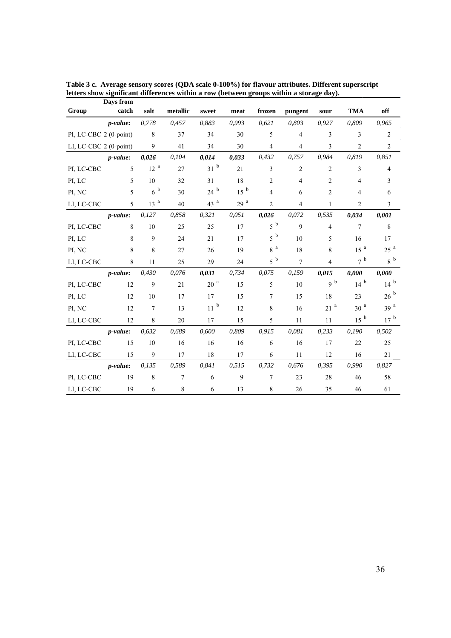| Group                  | $\boldsymbol{\nu}$ uyo n<br>catch | salt            | metallic | sweet         | meat            | frozen           | pungent        | sour              | <b>TMA</b>      | off             |
|------------------------|-----------------------------------|-----------------|----------|---------------|-----------------|------------------|----------------|-------------------|-----------------|-----------------|
|                        | <i>p</i> -value:                  | 0,778           | 0,457    | 0,883         | 0,993           | 0,621            | 0,803          | 0,927             | 0,809           | 0,965           |
| PI, LC-CBC 2 (0-point) |                                   | 8               | 37       | 34            | 30              | 5                | $\overline{4}$ | 3                 | 3               | $\sqrt{2}$      |
| LI, LC-CBC 2 (0-point) |                                   | 9               | 41       | 34            | 30              | $\overline{4}$   | $\overline{4}$ | 3                 | $\overline{c}$  | $\overline{2}$  |
|                        | <i>p</i> -value:                  | 0.026           | 0,104    | 0,014         | 0,033           | 0,432            | 0,757          | 0,984             | 0,819           | 0,851           |
| PI, LC-CBC             | 5                                 | 12 <sup>a</sup> | 27       | $31^{b}$      | 21              | 3                | $\overline{2}$ | $\overline{2}$    | 3               | $\overline{4}$  |
| PI, LC                 | 5                                 | 10              | 32       | 31            | 18              | $\overline{2}$   | $\overline{4}$ | 2                 | 4               | 3               |
| PI, NC                 | 5                                 | $6^{b}$         | 30       | 24h           | 15 <sup>b</sup> | $\overline{4}$   | 6              | $\overline{2}$    | 4               | 6               |
| LI, LC-CBC             | 5                                 | 13 <sup>a</sup> | 40       | 43 $a$        | 29 <sup>a</sup> | $\overline{2}$   | $\overline{4}$ | $\mathbf{1}$      | $\overline{c}$  | 3               |
|                        | <i>p</i> -value:                  | 0,127           | 0,858    | 0,321         | 0,051           | 0,026            | 0,072          | 0,535             | 0,034           | 0,001           |
| PI, LC-CBC             | 8                                 | 10              | 25       | 25            | 17              | $5^{\circ}$      | 9              | $\overline{4}$    | $\overline{7}$  | $\,$ 8 $\,$     |
| PI, LC                 | 8                                 | 9               | 24       | 21            | 17              | $5^{b}$          | 10             | 5                 | 16              | 17              |
| PI, NC                 | 8                                 | 8               | 27       | 26            | 19              | $8\,$ $^{\rm a}$ | 18             | 8                 | 15 <sup>a</sup> | 25 <sup>a</sup> |
| LI, LC-CBC             | 8                                 | 11              | 25       | 29            | 24              | $5^{\ b}$        | $\overline{7}$ | $\overline{4}$    | $7^{\circ}$     | $8^{b}$         |
|                        | <i>p</i> -value:                  | 0.430           | 0,076    | 0,031         | 0,734           | 0,075            | 0,159          | 0,015             | 0,000           | 0,000           |
| PI, LC-CBC             | 12                                | 9               | 21       | $20~^{\rm a}$ | 15              | 5                | 10             | 9 <sup>b</sup>    | $14^{b}$        | $14^{b}$        |
| PI, LC                 | 12                                | 10              | 17       | 17            | 15              | $\overline{7}$   | 15             | 18                | 23              | 26 <sup>b</sup> |
| PI, NC                 | 12                                | $\overline{7}$  | 13       | $11^{b}$      | 12              | 8                | 16             | $21$ <sup>a</sup> | $30\ ^a$        | 39 <sup>a</sup> |
| LI, LC-CBC             | 12                                | 8               | 20       | 17            | 15              | 5                | 11             | 11                | 15 <sup>b</sup> | 17 <sup>b</sup> |
|                        | <i>p</i> -value:                  | 0,632           | 0,689    | 0,600         | 0,809           | 0.915            | 0,081          | 0,233             | 0,190           | 0,502           |
| PI, LC-CBC             | 15                                | 10              | 16       | 16            | 16              | 6                | 16             | 17                | 22              | 25              |
| LI, LC-CBC             | 15                                | 9               | 17       | 18            | 17              | 6                | 11             | 12                | 16              | 21              |
|                        | <i>p-value:</i>                   | 0,135           | 0,589    | 0,841         | 0,515           | 0,732            | 0,676          | 0,395             | 0,990           | 0,827           |
| PI, LC-CBC             | 19                                | 8               | $\tau$   | 6             | 9               | $\overline{7}$   | 23             | 28                | 46              | 58              |
| LI, LC-CBC             | 19                                | 6               | $\,8\,$  | 6             | 13              | 8                | 26             | 35                | 46              | 61              |

**Table 3 c. Average sensory scores (QDA scale 0-100%) for flavour attributes. Different superscript letters show significant differences within a row (between groups within a storage day). Days from**